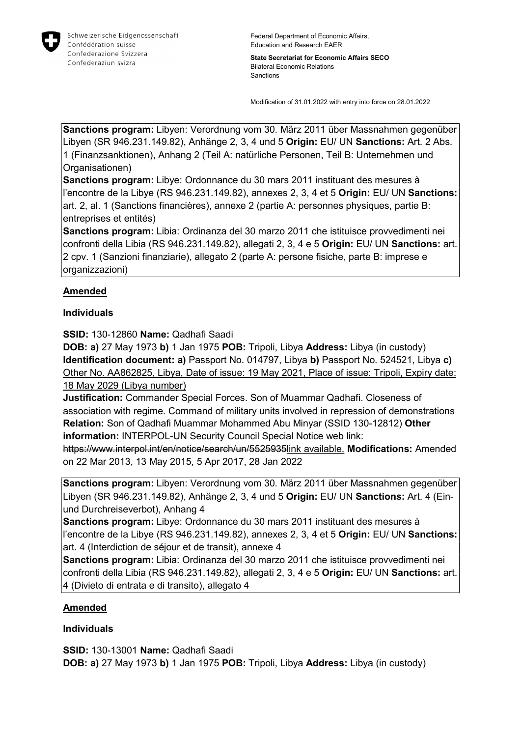

State Secretariat for Economic Affairs SECO Bilateral Economic Relations Sanctions

Modification of 31.01.2022 with entry into force on 28.01.2022

Sanctions program: Libyen: Verordnung vom 30. März 2011 über Massnahmen gegenüber Libyen (SR 946.231.149.82), Anhänge 2, 3, 4 und 5 Origin: EU/ UN Sanctions: Art. 2 Abs. 1 (Finanzsanktionen), Anhang 2 (Teil A: natürliche Personen, Teil B: Unternehmen und Organisationen)

Sanctions program: Libye: Ordonnance du 30 mars 2011 instituant des mesures à l'encontre de la Libye (RS 946.231.149.82), annexes 2, 3, 4 et 5 Origin: EU/ UN Sanctions: art. 2, al. 1 (Sanctions financières), annexe 2 (partie A: personnes physiques, partie B: entreprises et entités)

Sanctions program: Libia: Ordinanza del 30 marzo 2011 che istituisce provvedimenti nei confronti della Libia (RS 946.231.149.82), allegati 2, 3, 4 e 5 Origin: EU/ UN Sanctions: art. 2 cpv. 1 (Sanzioni finanziarie), allegato 2 (parte A: persone fisiche, parte B: imprese e organizzazioni)

## Amended

## Individuals

SSID: 130-12860 Name: Qadhafi Saadi

DOB: a) 27 May 1973 b) 1 Jan 1975 POB: Tripoli, Libya Address: Libya (in custody) Identification document: a) Passport No. 014797, Libya b) Passport No. 524521, Libya c) Other No. AA862825, Libya, Date of issue: 19 May 2021, Place of issue: Tripoli, Expiry date: 18 May 2029 (Libya number)

Justification: Commander Special Forces. Son of Muammar Qadhafi. Closeness of association with regime. Command of military units involved in repression of demonstrations Relation: Son of Qadhafi Muammar Mohammed Abu Minyar (SSID 130-12812) Other information: INTERPOL-UN Security Council Special Notice web link:

https://www.interpol.int/en/notice/search/un/5525935link available. Modifications: Amended on 22 Mar 2013, 13 May 2015, 5 Apr 2017, 28 Jan 2022

Sanctions program: Libyen: Verordnung vom 30. März 2011 über Massnahmen gegenüber Libyen (SR 946.231.149.82), Anhänge 2, 3, 4 und 5 Origin: EU/ UN Sanctions: Art. 4 (Einund Durchreiseverbot), Anhang 4

Sanctions program: Libye: Ordonnance du 30 mars 2011 instituant des mesures à l'encontre de la Libye (RS 946.231.149.82), annexes 2, 3, 4 et 5 Origin: EU/ UN Sanctions: art. 4 (Interdiction de séjour et de transit), annexe 4

Sanctions program: Libia: Ordinanza del 30 marzo 2011 che istituisce provvedimenti nei confronti della Libia (RS 946.231.149.82), allegati 2, 3, 4 e 5 Origin: EU/ UN Sanctions: art. 4 (Divieto di entrata e di transito), allegato 4

## **Amended**

## Individuals

SSID: 130-13001 Name: Qadhafi Saadi DOB: a) 27 May 1973 b) 1 Jan 1975 POB: Tripoli, Libya Address: Libya (in custody)